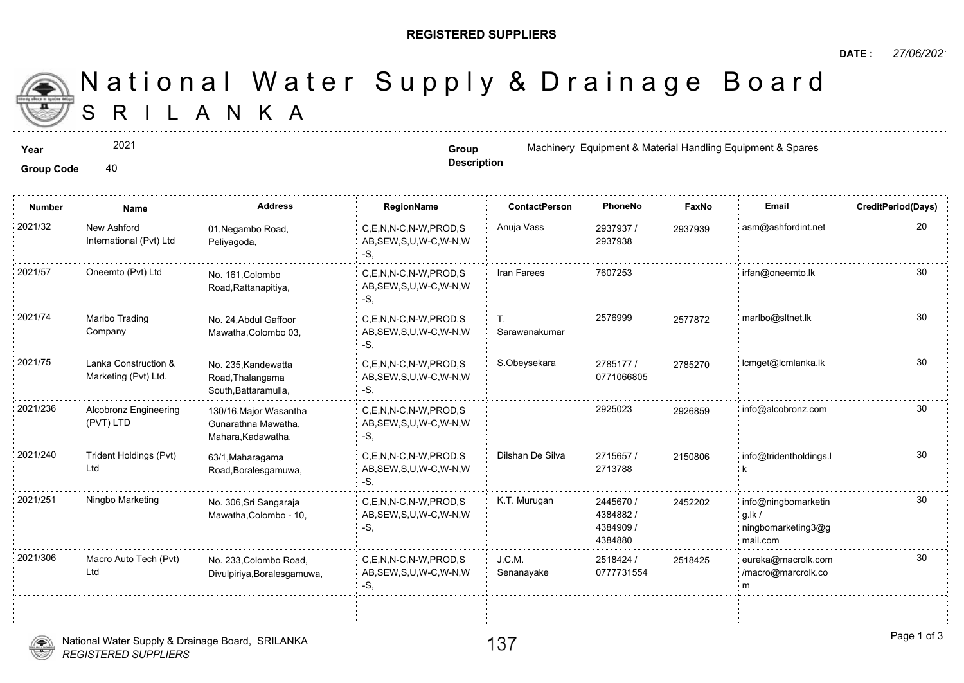## **REGISTERED SUPPLIERS**

 S R I L A N K A National Water Supply & Drainage

2021

Group Code 40

**Description**

**Year Group Group 1998** Machinery Equipment & Material Handle Equipment & Material Handle Equipment & Material Handle

| <b>Number</b> | Name                                         | <b>Address</b>                                                      | <b>RegionName</b>                                         | <b>ContactPerson</b> | PhoneNo                                       | Faxl   |
|---------------|----------------------------------------------|---------------------------------------------------------------------|-----------------------------------------------------------|----------------------|-----------------------------------------------|--------|
| 2021/32       | New Ashford<br>International (Pvt) Ltd       | 01, Negambo Road,<br>Peliyagoda,                                    | C,E,N,N-C,N-W,PROD,S<br>AB, SEW, S, U, W-C, W-N, W<br>-S, | Anuja Vass           | 2937937/<br>2937938                           | 293793 |
| 2021/57       | Oneemto (Pvt) Ltd                            | No. 161, Colombo<br>Road, Rattanapitiya,                            | C,E,N,N-C,N-W,PROD,S<br>AB, SEW, S, U, W-C, W-N, W<br>-S. | Iran Farees          | 7607253                                       |        |
| 2021/74       | Marlbo Trading<br>Company                    | No. 24, Abdul Gaffoor<br>Mawatha, Colombo 03,                       | C,E,N,N-C,N-W,PROD,S<br>AB, SEW, S, U, W-C, W-N, W<br>-S. | Т.<br>Sarawanakumar  | 2576999                                       | 257787 |
| 2021/75       | Lanka Construction &<br>Marketing (Pvt) Ltd. | No. 235, Kandewatta<br>Road, Thalangama<br>South, Battaramulla,     | C.E.N.N-C.N-W.PROD.S<br>AB, SEW, S, U, W-C, W-N, W<br>-S. | S.Obeysekara         | 2785177 /<br>0771066805                       | 278521 |
| 2021/236      | Alcobronz Engineering<br>(PVT) LTD           | 130/16, Major Wasantha<br>Gunarathna Mawatha,<br>Mahara, Kadawatha, | C.E.N.N-C.N-W.PROD.S<br>AB, SEW, S, U, W-C, W-N, W<br>-S. |                      | 2925023                                       | 292685 |
| 2021/240      | Trident Holdings (Pvt)<br>Ltd                | 63/1, Maharagama<br>Road, Boralesgamuwa,                            | C.E.N.N-C.N-W.PROD.S<br>AB, SEW, S, U, W-C, W-N, W<br>-S, | Dilshan De Silva     | 2715657/<br>2713788                           | 215080 |
| 2021/251      | Ningbo Marketing                             | No. 306, Sri Sangaraja<br>Mawatha, Colombo - 10,                    | C.E.N.N-C.N-W.PROD.S<br>AB, SEW, S, U, W-C, W-N, W<br>-S. | K.T. Murugan         | 2445670 /<br>4384882/<br>4384909 /<br>4384880 | 245220 |
| 2021/306      | Macro Auto Tech (Pvt)<br>Ltd                 | No. 233, Colombo Road,<br>Divulpiriya, Boralesgamuwa,               | C.E.N.N-C.N-W.PROD.S<br>AB, SEW, S, U, W-C, W-N, W<br>-S, | J.C.M.<br>Senanayake | 2518424 /<br>0777731554                       | 251842 |
|               |                                              |                                                                     |                                                           |                      |                                               |        |

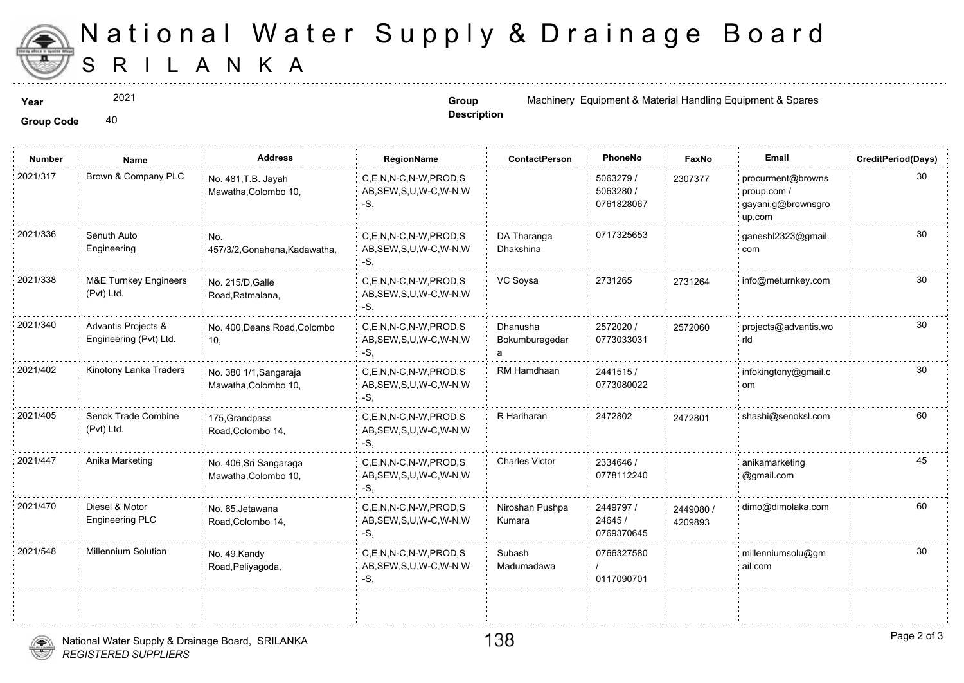

## S R I L A N K A National Water Supply & Drainage

2021

**Description**

**Year Group Group Machinery Equipment & Material Handle Equipment & Material Handle Equipment & Material Handle** 

Group Code 40

| <b>Number</b> | Name                                           | <b>Address</b>                                 | RegionName                                                   | <b>ContactPerson</b>            | PhoneNo                              | Fax              |
|---------------|------------------------------------------------|------------------------------------------------|--------------------------------------------------------------|---------------------------------|--------------------------------------|------------------|
| 2021/317      | Brown & Company PLC                            | No. 481, T.B. Jayah<br>Mawatha, Colombo 10,    | C,E,N,N-C,N-W,PROD,S<br>AB, SEW, S, U, W-C, W-N, W<br>-S.    |                                 | 5063279 /<br>5063280 /<br>0761828067 | 230737           |
| 2021/336      | Senuth Auto<br>Engineering                     | No.<br>457/3/2, Gonahena, Kadawatha,           | C.E.N.N-C.N-W.PROD.S<br>AB, SEW, S, U, W-C, W-N, W<br>-S,    | DA Tharanga<br>Dhakshina        | 0717325653                           |                  |
| 2021/338      | <b>M&amp;E Turnkey Engineers</b><br>(Pvt) Ltd. | No. 215/D, Galle<br>Road, Ratmalana,           | C,E,N,N-C,N-W,PROD,S<br>AB, SEW, S, U, W-C, W-N, W<br>-S.    | VC Soysa                        | 2731265                              | 273126           |
| 2021/340      | Advantis Projects &<br>Engineering (Pvt) Ltd.  | No. 400, Deans Road, Colombo<br>10,            | C.E.N.N-C.N-W.PROD.S<br>AB, SEW, S, U, W-C, W-N, W<br>-S,    | Dhanusha<br>Bokumburegedar<br>a | 2572020 /<br>0773033031              | 257206           |
| 2021/402      | Kinotony Lanka Traders                         | No. 380 1/1, Sangaraja<br>Mawatha, Colombo 10, | C.E.N.N-C.N-W.PROD.S<br>AB, SEW, S, U, W-C, W-N, W<br>-S.    | RM Hamdhaan                     | 2441515/<br>0773080022               |                  |
| 2021/405      | Senok Trade Combine<br>(Pvt) Ltd.              | 175, Grandpass<br>Road, Colombo 14,            | C,E,N,N-C,N-W,PROD,S<br>AB, SEW, S, U, W-C, W-N, W<br>-S,    | R Hariharan                     | 2472802                              | 247280           |
| 2021/447      | Anika Marketing                                | No. 406, Sri Sangaraga<br>Mawatha, Colombo 10, | C,E,N,N-C,N-W,PROD,S<br>AB, SEW, S, U, W-C, W-N, W<br>-S.    | <b>Charles Victor</b>           | 2334646 /<br>0778112240              |                  |
| 2021/470      | Diesel & Motor<br>Engineering PLC              | No. 65, Jetawana<br>Road, Colombo 14,          | C.E.N.N-C.N-W.PROD.S<br>AB, SEW, S, U, W-C, W-N, W<br>-S,    | Niroshan Pushpa<br>Kumara       | 2449797 /<br>24645 /<br>0769370645   | 244908<br>420989 |
| 2021/548      | Millennium Solution                            | No. 49, Kandy<br>Road, Peliyagoda,             | C.E.N.N-C.N-W.PROD.S<br>AB, SEW, S, U, W-C, W-N, W<br>$-S$ . | Subash<br>Madumadawa            | 0766327580<br>0117090701             |                  |
|               |                                                |                                                |                                                              |                                 |                                      |                  |